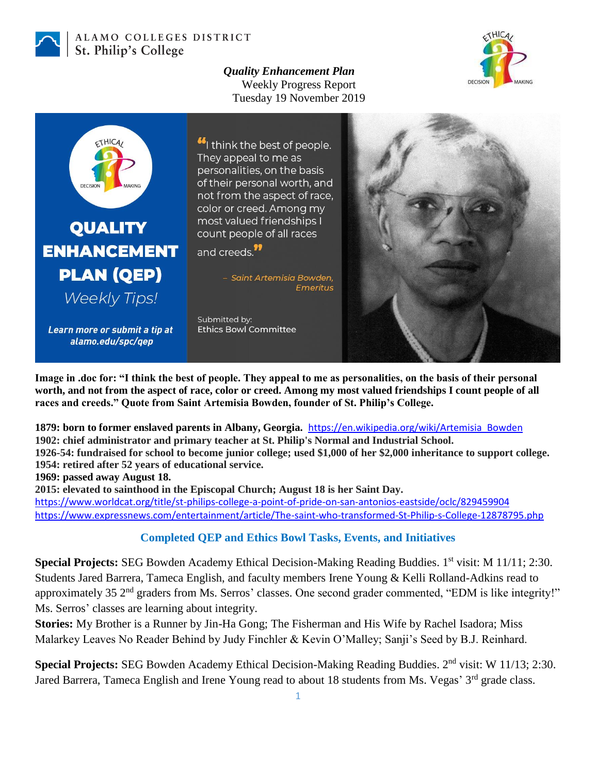

## ALAMO COLLEGES DISTRICT St. Philip's College

*Quality Enhancement Plan* Weekly Progress Report Tuesday 19 November 2019





**Image in .doc for: "I think the best of people. They appeal to me as personalities, on the basis of their personal worth, and not from the aspect of race, color or creed. Among my most valued friendships I count people of all races and creeds." Quote from Saint Artemisia Bowden, founder of St. Philip's College.**

**1879: born to former enslaved parents in Albany, Georgia.** [https://en.wikipedia.org/wiki/Artemisia\\_Bowden](https://en.wikipedia.org/wiki/Artemisia_Bowden) **1902: chief administrator and primary teacher at St. Philip's Normal and Industrial School. 1926-54: fundraised for school to become junior college; used \$1,000 of her \$2,000 inheritance to support college. 1954: retired after 52 years of educational service.** 

**1969: passed away August 18.**

**2015: elevated to sainthood in the Episcopal Church; August 18 is her Saint Day.**

<https://www.worldcat.org/title/st-philips-college-a-point-of-pride-on-san-antonios-eastside/oclc/829459904> <https://www.expressnews.com/entertainment/article/The-saint-who-transformed-St-Philip-s-College-12878795.php>

## **Completed QEP and Ethics Bowl Tasks, Events, and Initiatives**

**Special Projects: SEG Bowden Academy Ethical Decision-Making Reading Buddies. 1<sup>st</sup> visit: M 11/11; 2:30.** Students Jared Barrera, Tameca English, and faculty members Irene Young & Kelli Rolland-Adkins read to approximately 35 2<sup>nd</sup> graders from Ms. Serros' classes. One second grader commented, "EDM is like integrity!" Ms. Serros' classes are learning about integrity.

**Stories:** My Brother is a Runner by Jin-Ha Gong; The Fisherman and His Wife by Rachel Isadora; Miss Malarkey Leaves No Reader Behind by Judy Finchler & Kevin O'Malley; Sanji's Seed by B.J. Reinhard.

Special Projects: SEG Bowden Academy Ethical Decision-Making Reading Buddies. 2<sup>nd</sup> visit: W 11/13; 2:30. Jared Barrera, Tameca English and Irene Young read to about 18 students from Ms. Vegas' 3<sup>rd</sup> grade class.